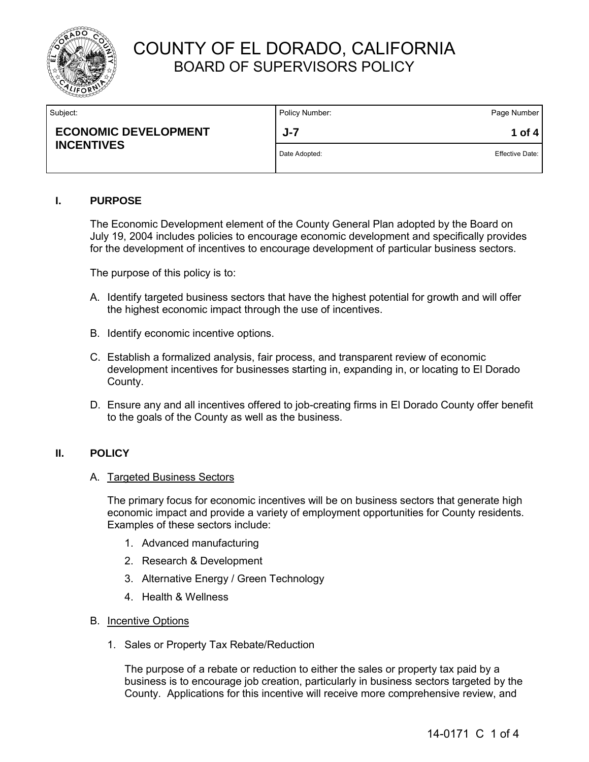

| Policy Number: | Page Number     |
|----------------|-----------------|
| $J - 7$        | 1 of 4          |
| Date Adopted:  | Effective Date: |
|                |                 |

### **I. PURPOSE**

The Economic Development element of the County General Plan adopted by the Board on July 19, 2004 includes policies to encourage economic development and specifically provides for the development of incentives to encourage development of particular business sectors.

The purpose of this policy is to:

- A. Identify targeted business sectors that have the highest potential for growth and will offer the highest economic impact through the use of incentives.
- B. Identify economic incentive options.
- C. Establish a formalized analysis, fair process, and transparent review of economic development incentives for businesses starting in, expanding in, or locating to El Dorado County.
- D. Ensure any and all incentives offered to job-creating firms in El Dorado County offer benefit to the goals of the County as well as the business.

### **II. POLICY**

#### A. Targeted Business Sectors

The primary focus for economic incentives will be on business sectors that generate high economic impact and provide a variety of employment opportunities for County residents. Examples of these sectors include:

- 1. Advanced manufacturing
- 2. Research & Development
- 3. Alternative Energy / Green Technology
- 4. Health & Wellness
- B. Incentive Options
	- 1. Sales or Property Tax Rebate/Reduction

The purpose of a rebate or reduction to either the sales or property tax paid by a business is to encourage job creation, particularly in business sectors targeted by the County. Applications for this incentive will receive more comprehensive review, and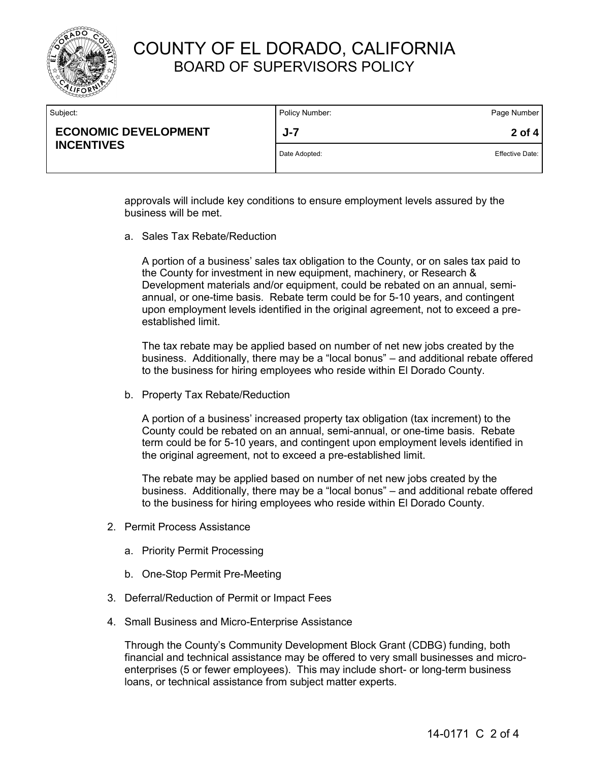

| Subject:                                         | Policy Number: | Page Number            |
|--------------------------------------------------|----------------|------------------------|
| <b>ECONOMIC DEVELOPMENT</b><br><b>INCENTIVES</b> | $J - 7$        | 2 of 4                 |
|                                                  | Date Adopted:  | <b>Effective Date:</b> |
|                                                  |                |                        |

approvals will include key conditions to ensure employment levels assured by the business will be met.

a. Sales Tax Rebate/Reduction

A portion of a business' sales tax obligation to the County, or on sales tax paid to the County for investment in new equipment, machinery, or Research & Development materials and/or equipment, could be rebated on an annual, semiannual, or one-time basis. Rebate term could be for 5-10 years, and contingent upon employment levels identified in the original agreement, not to exceed a preestablished limit.

The tax rebate may be applied based on number of net new jobs created by the business. Additionally, there may be a "local bonus" – and additional rebate offered to the business for hiring employees who reside within El Dorado County.

b. Property Tax Rebate/Reduction

A portion of a business' increased property tax obligation (tax increment) to the County could be rebated on an annual, semi-annual, or one-time basis. Rebate term could be for 5-10 years, and contingent upon employment levels identified in the original agreement, not to exceed a pre-established limit.

The rebate may be applied based on number of net new jobs created by the business. Additionally, there may be a "local bonus" – and additional rebate offered to the business for hiring employees who reside within El Dorado County.

- 2. Permit Process Assistance
	- a. Priority Permit Processing
	- b. One-Stop Permit Pre-Meeting
- 3. Deferral/Reduction of Permit or Impact Fees
- 4. Small Business and Micro-Enterprise Assistance

Through the County's Community Development Block Grant (CDBG) funding, both financial and technical assistance may be offered to very small businesses and microenterprises (5 or fewer employees). This may include short- or long-term business loans, or technical assistance from subject matter experts.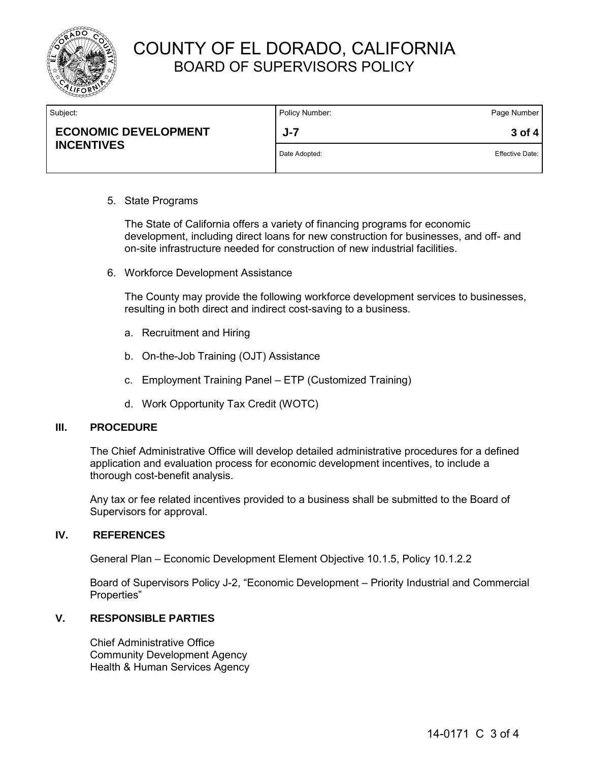

| Subject:                                         | Policy Number: | Page Number            |
|--------------------------------------------------|----------------|------------------------|
| <b>ECONOMIC DEVELOPMENT</b><br><b>INCENTIVES</b> | $J - 7$        | $3$ of 4               |
|                                                  | Date Adopted:  | <b>Effective Date:</b> |

#### 5. State Programs

The State of California offers a variety of financing programs for economic development, including direct loans for new construction for businesses, and off- and on-site infrastructure needed for construction of new industrial facilities.

6. Workforce Development Assistance

 The County may provide the following workforce development services to businesses, resulting in both direct and indirect cost-saving to a business.

- a. Recruitment and Hiring
- b. On-the-Job Training (OJT) Assistance
- c. Employment Training Panel ETP (Customized Training)
- d. Work Opportunity Tax Credit (WOTC)

#### **III. PROCEDURE**

The Chief Administrative Office will develop detailed administrative procedures for a defined application and evaluation process for economic development incentives, to include a thorough cost-benefit analysis.

Any tax or fee related incentives provided to a business shall be submitted to the Board of Supervisors for approval.

#### **IV. REFERENCES**

General Plan – Economic Development Element Objective 10.1.5, Policy 10.1.2.2

Board of Supervisors Policy J-2, "Economic Development – Priority Industrial and Commercial Properties"

### **V. RESPONSIBLE PARTIES**

Chief Administrative Office Community Development Agency Health & Human Services Agency